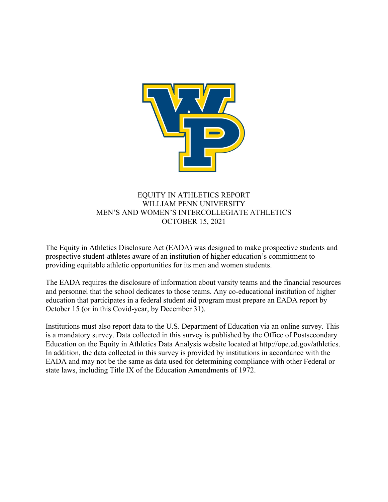

## EQUITY IN ATHLETICS REPORT WILLIAM PENN UNIVERSITY MEN'S AND WOMEN'S INTERCOLLEGIATE ATHLETICS OCTOBER 15, 2021

The Equity in Athletics Disclosure Act (EADA) was designed to make prospective students and prospective student-athletes aware of an institution of higher education's commitment to providing equitable athletic opportunities for its men and women students.

The EADA requires the disclosure of information about varsity teams and the financial resources and personnel that the school dedicates to those teams. Any co-educational institution of higher education that participates in a federal student aid program must prepare an EADA report by October 15 (or in this Covid-year, by December 31).

Institutions must also report data to the U.S. Department of Education via an online survey. This is a mandatory survey. Data collected in this survey is published by the Office of Postsecondary Education on the Equity in Athletics Data Analysis website located at http://ope.ed.gov/athletics. In addition, the data collected in this survey is provided by institutions in accordance with the EADA and may not be the same as data used for determining compliance with other Federal or state laws, including Title IX of the Education Amendments of 1972.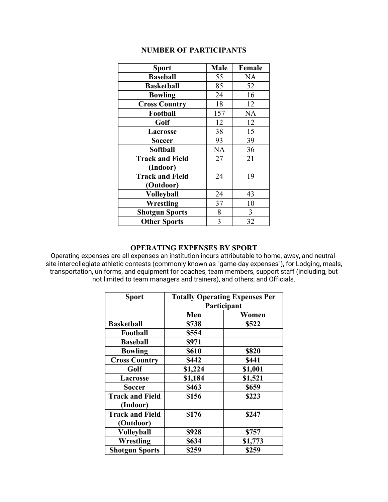### **NUMBER OF PARTICIPANTS**

| <b>Sport</b>           | <b>Male</b> | Female    |
|------------------------|-------------|-----------|
| <b>Baseball</b>        | 55          | NA        |
| <b>Basketball</b>      | 85          | 52        |
| <b>Bowling</b>         | 24          | 16        |
| <b>Cross Country</b>   | 18          | 12        |
| Football               | 157         | <b>NA</b> |
| Golf                   | 12          | 12        |
| Lacrosse               | 38          | 15        |
| Soccer                 | 93          | 39        |
| <b>Softball</b>        | <b>NA</b>   | 36        |
| <b>Track and Field</b> | 27          | 21        |
| (Indoor)               |             |           |
| <b>Track and Field</b> | 24          | 19        |
| (Outdoor)              |             |           |
| <b>Volleyball</b>      | 24          | 43        |
| Wrestling              | 37          | 10        |
| <b>Shotgun Sports</b>  | 8           | 3         |
| <b>Other Sports</b>    | 3           | 32        |

### **OPERATING EXPENSES BY SPORT**

Operating expenses are all expenses an institution incurs attributable to home, away, and neutralsite intercollegiate athletic contests (commonly known as "game-day expenses"), for Lodging, meals, transportation, uniforms, and equipment for coaches, team members, support staff (including, but not limited to team managers and trainers), and others; and Officials.

| <b>Sport</b>           | <b>Totally Operating Expenses Per</b><br>Participant |         |  |
|------------------------|------------------------------------------------------|---------|--|
|                        | Men<br>Women                                         |         |  |
| <b>Basketball</b>      | \$738                                                | \$522   |  |
| Football               | \$554                                                |         |  |
| <b>Baseball</b>        | \$971                                                |         |  |
| <b>Bowling</b>         | <b>\$610</b>                                         | \$820   |  |
| <b>Cross Country</b>   | \$442                                                | \$441   |  |
| Golf                   | \$1,224                                              | \$1,001 |  |
| Lacrosse               | \$1,184                                              | \$1,521 |  |
| <b>Soccer</b>          | \$463                                                | \$659   |  |
| <b>Track and Field</b> | \$156                                                | \$223   |  |
| (Indoor)               |                                                      |         |  |
| <b>Track and Field</b> | \$176                                                | \$247   |  |
| (Outdoor)              |                                                      |         |  |
| <b>Volleyball</b>      | \$928                                                | \$757   |  |
| <b>Wrestling</b>       | \$634                                                | \$1,773 |  |
| <b>Shotgun Sports</b>  | \$259                                                | \$259   |  |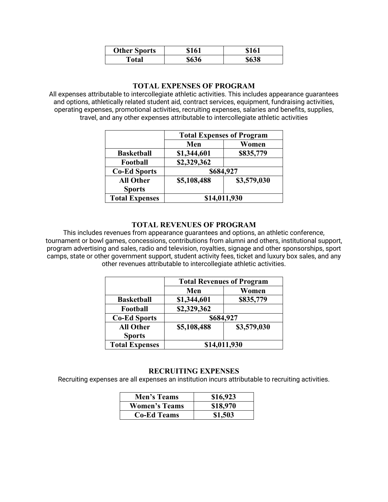| <b>Other Sports</b> | \$161 | \$161 |
|---------------------|-------|-------|
| Total               | \$636 | \$638 |

### **TOTAL EXPENSES OF PROGRAM**

All expenses attributable to intercollegiate athletic activities. This includes appearance guarantees and options, athletically related student aid, contract services, equipment, fundraising activities, operating expenses, promotional activities, recruiting expenses, salaries and benefits, supplies, travel, and any other expenses attributable to intercollegiate athletic activities

|                       | <b>Total Expenses of Program</b> |             |
|-----------------------|----------------------------------|-------------|
|                       | Men                              | Women       |
| <b>Basketball</b>     | \$1,344,601                      | \$835,779   |
| Football              | \$2,329,362                      |             |
| <b>Co-Ed Sports</b>   | \$684,927                        |             |
| <b>All Other</b>      | \$5,108,488                      | \$3,579,030 |
| <b>Sports</b>         |                                  |             |
| <b>Total Expenses</b> | \$14,011,930                     |             |

### **TOTAL REVENUES OF PROGRAM**

This includes revenues from appearance guarantees and options, an athletic conference, tournament or bowl games, concessions, contributions from alumni and others, institutional support, program advertising and sales, radio and television, royalties, signage and other sponsorships, sport camps, state or other government support, student activity fees, ticket and luxury box sales, and any other revenues attributable to intercollegiate athletic activities.

|                       | <b>Total Revenues of Program</b> |             |
|-----------------------|----------------------------------|-------------|
|                       | Men                              | Women       |
| <b>Basketball</b>     | \$1,344,601                      | \$835,779   |
| Football              | \$2,329,362                      |             |
| <b>Co-Ed Sports</b>   | \$684,927                        |             |
| <b>All Other</b>      | \$5,108,488                      | \$3,579,030 |
| <b>Sports</b>         |                                  |             |
| <b>Total Expenses</b> | \$14,011,930                     |             |

### **RECRUITING EXPENSES**

Recruiting expenses are all expenses an institution incurs attributable to recruiting activities.

| Men's Teams          | \$16,923 |
|----------------------|----------|
| <b>Women's Teams</b> | \$18,970 |
| <b>Co-Ed Teams</b>   | \$1,503  |